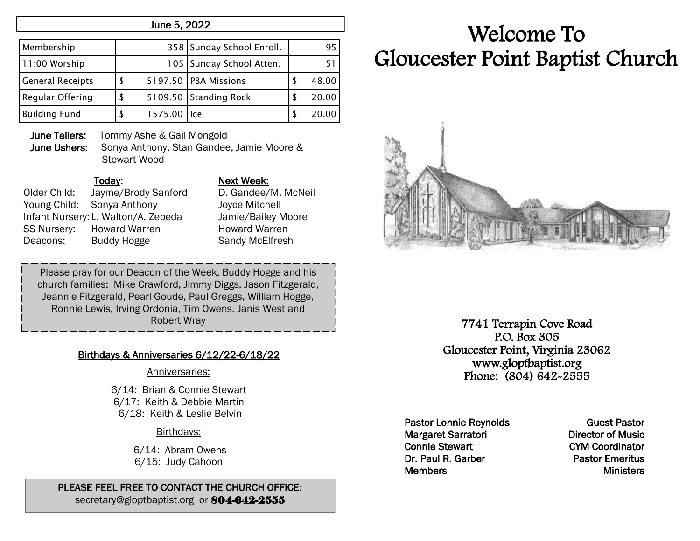## June 5, 2022

| Membership              |             | 358 Sunday School Enroll.  | 95    |
|-------------------------|-------------|----------------------------|-------|
| 11:00 Worship           |             | 105   Sunday School Atten. |       |
| <b>General Receipts</b> |             | 5197.50 PBA Missions       | 48.00 |
| Regular Offering        |             | 5109.50 Standing Rock      | 20.00 |
| <b>Building Fund</b>    | 1575.00 Ice |                            | 20.00 |

June Tellers: Tommy Ashe & Gail Mongold

June Ushers: Sonya Anthony, Stan Gandee, Jamie Moore & Stewart Wood

# Today: Next Week: Older Child: Jayme/Brody Sanford D. Gandee/M. McNeil Young Child: Sonya Anthony Joyce Mitchell Infant Nursery: L. Walton/A. Zepeda Jamie/Bailey Moore SS Nursery: Howard Warren **Howard Warren** Deacons: Buddy Hogge Sandy McElfresh

Please pray for our Deacon of the Week, Buddy Hogge and his church families: Mike Crawford, Jimmy Diggs, Jason Fitzgerald, Jeannie Fitzgerald, Pearl Goude, Paul Greggs, William Hogge, Ronnie Lewis, Irving Ordonia, Tim Owens, Janis West and Robert Wray

## Birthdays & Anniversaries 6/12/22-6/18/22

#### Anniversaries:

6/14: Brian & Connie Stewart 6/17: Keith & Debbie Martin 6/18: Keith & Leslie Belvin Í

#### Birthdays:

6/14: Abram Owens 6/15: Judy Cahoon

# PLEASE FEEL FREE TO CONTACT THE CHURCH OFFICE:

secretary@gloptbaptist.org or 804-642-2555

# Welcome To Gloucester Point Baptist Church



7741 Terrapin Cove Road P.O. Box 305 Gloucester Point, Virginia 23062 www.gloptbaptist.org Phone: (804) 642-2555

Pastor Lonnie Reynolds Margaret Sarratori Connie Stewart Dr. Paul R. Garber **Members** 

Guest Pastor Director of Music CYM Coordinator Pastor Emeritus **Ministers**